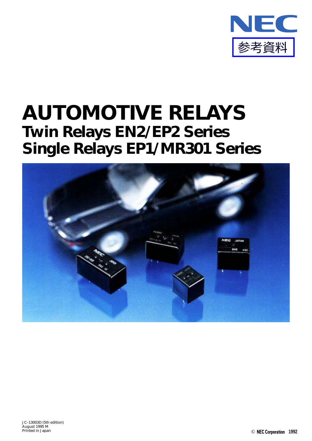

# **AUTOMOTIVE RELAYS Twin Relays EN2/EP2 Series Single Relays EP1/MR301 Series**

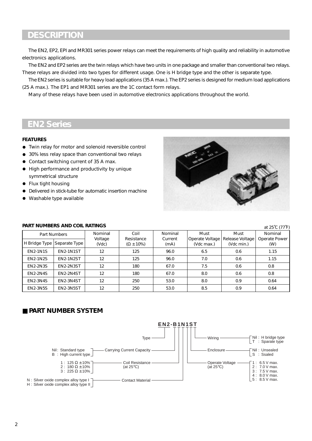# **DESCRIPTION**

The EN2, EP2, EPI and MR301 series power relays can meet the requirements of high quality and reliability in automotive electronics applications.

The EN2 and EP2 series are the twin relays which have two units in one package and smaller than conventional two relays. These relays are divided into two types for different usage. One is H bridge type and the other is separate type.

The EN2 series is suitable for heavy load applications (35 A max.). The EP2 series is designed for medium load applications (25 A max.). The EP1 and MR301 series are the 1C contact form relays.

Many of these relays have been used in automotive electronics applications throughout the world.

# **EN2 Series**

#### **FEATURES**

- Twin relay for motor and solenoid reversible control
- 30% less relay space than conventional two relays
- Contact switching current of 35 A max.
- High performance and productivity by unique symmetrical structure
- Flux tight housing
- Delivered in stick-tube for automatic insertion machine
- Washable type available



#### **PART NUMBERS AND COIL RATINGS**

Nominal Coil Nominal Must Must Nominal Voltage Resistance Current Operate Voltage Release Voltage Operate Power<br>(Vdc)  $(X \pm 10\%)$  (mA) (Vdc max.) (Vdc min.) (W)  $(MA)$   $\begin{array}{|c|c|c|c|c|} \hline \end{array}$  (Vdc min.)  $(M)$ 12 | 125 | 96.0 | 6.5 | 0.6 | 1.15 12 125 96.0 7.0 0.6 1.15 12 180 67.0 7.5 0.6 0.8 12 | 180 | 67.0 | 8.0 | 0.6 | 0.8 12 | 250 | 53.0 | 8.0 | 0.9 | 0.64 12 | 250 | 53.0 | 8.5 | 0.9 | 0.64 Part Numbers H Bridge Type Separate Type EN2-1N1S EN2-1N1ST EN2-1N2S EN2-1N2ST EN2-2N3S EN2-2N3ST EN2-2N4S EN2-2N4ST EN2-3N4S EN2-3N4ST EN2-3N5S EN2-3N5ST at 25˚C (77˚F)

### ■ **PART NUMBER SYSTEM**

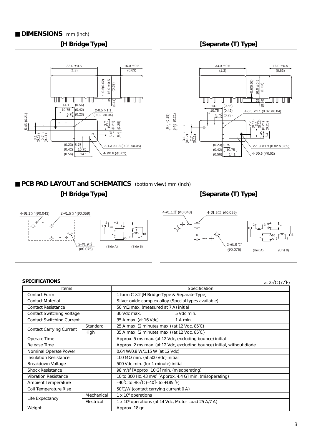#### ■ **DIMENSIONS** mm (inch)



■ **PCB PAD LAYOUT and SCHEMATICS** (bottom view) mm (inch)

**[H Bridge Type] [Separate (T) Type]**



| <b>SPECIFICATIONS</b>            |            |                                                                             | at 25°C (77°F) |  |  |
|----------------------------------|------------|-----------------------------------------------------------------------------|----------------|--|--|
| Items                            |            | Specification                                                               |                |  |  |
| <b>Contact Form</b>              |            | 1 form C × 2 [H Bridge Type & Separate Type]                                |                |  |  |
| <b>Contact Material</b>          |            | Silver oxide complex alloy (Special types available)                        |                |  |  |
| <b>Contact Resistance</b>        |            | 50 m $\Omega$ max. (measured at 7 A) initial                                |                |  |  |
| <b>Contact Switching Voltage</b> |            | 30 Vdc max.<br>5 Vdc min.                                                   |                |  |  |
| <b>Contact Switching Current</b> |            | 35 A max. (at 16 Vdc)<br>1 A min.                                           |                |  |  |
|                                  | Standard   | 25 A max. (2 minutes max.) (at 12 Vdc, 85°C)                                |                |  |  |
| <b>Contact Carrying Current</b>  | High       | 35 A max. (2 minutes max.) (at 12 Vdc, 85°C)                                |                |  |  |
| Operate Time                     |            | Approx. 5 ms max. (at 12 Vdc, excluding bounce) initial                     |                |  |  |
| Release Time                     |            | Approx. 2 ms max. (at 12 Vdc, excluding bounce) initial, without diode      |                |  |  |
| Nominal Operate Power            |            | 0.64 W/0.8 W/1.15 W (at 12 Vdc)                                             |                |  |  |
| <b>Insulation Resistance</b>     |            | 100 M $\Omega$ min. (at 500 Vdc) initial                                    |                |  |  |
| Breakdown Voltage                |            | 500 Vdc min. (for 1 minute) initial                                         |                |  |  |
| <b>Shock Resistance</b>          |            | 98 m/s <sup>2</sup> [Approx. 10 G] min. (misoperating)                      |                |  |  |
| <b>Vibration Resistance</b>      |            | 10 to 300 Hz, 43 m/s <sup>2</sup> [Approx. 4.4 G] min. (misoperating)       |                |  |  |
| <b>Ambient Temperature</b>       |            | $-40^{\circ}$ C to +85 $^{\circ}$ C (-40 $^{\circ}$ F to +185 $^{\circ}$ F) |                |  |  |
| Coil Temperature Rise            |            | 50°C/W (contact carrying current 0 A)                                       |                |  |  |
| Life Expectancy                  | Mechanical | 1 x 10 <sup>6</sup> operations                                              |                |  |  |
|                                  | Electrical | 1 x 10 <sup>5</sup> operations (at 14 Vdc, Motor Load 25 A/7 A)             |                |  |  |
| Weight                           |            | Approx. 18 gr.                                                              |                |  |  |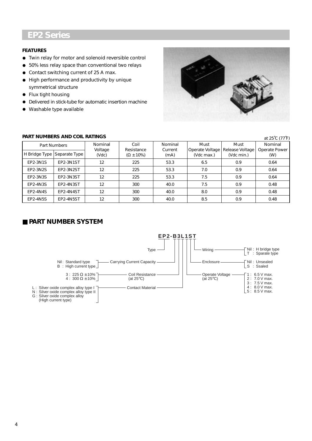# **EP2 Series**

#### **FEATURES**

- Twin relay for motor and solenoid reversible control
- 50% Iess relay space than conventional two relays
- Contact switching current of 25 A max.
- High performance and productivity by unique symmetrical structure
- Flux tight housing
- Delivered in stick-tube for automatic insertion machine
- Washable type available



| PART NUMBERS AND COIL RATINGS<br>at 25°C (77°F) |                               |                  |                                   |                 |                               |                               |                      |
|-------------------------------------------------|-------------------------------|------------------|-----------------------------------|-----------------|-------------------------------|-------------------------------|----------------------|
| Part Numbers                                    |                               | Nominal          | Coil                              | Nominal         | Must                          | Must                          | Nominal              |
|                                                 | H Bridge Type   Separate Type | Voltage<br>(Vdc) | Resistance<br>$(\Omega \pm 10\%)$ | Current<br>(mA) | Operate Voltage<br>(Vdc max.) | Release Voltage<br>(Vdc min.) | Operate Power<br>(W) |
| EP2-3N1S                                        | EP2-3N1ST                     | 12               | 225                               | 53.3            | 6.5                           | 0.9                           | 0.64                 |
| EP2-3N2S                                        | EP2-3N2ST                     | 12               | 225                               | 53.3            | 7.0                           | 0.9                           | 0.64                 |
| EP2-3N3S                                        | EP2-3N3ST                     | 12               | 225                               | 53.3            | 7.5                           | 0.9                           | 0.64                 |
| EP2-4N3S                                        | EP2-4N3ST                     | 12               | 300                               | 40.0            | 7.5                           | 0.9                           | 0.48                 |
| <b>EP2-4N4S</b>                                 | EP2-4N4ST                     | 12               | 300                               | 40.0            | 8.0                           | 0.9                           | 0.48                 |
| <b>EP2-4N5S</b>                                 | EP2-4N5ST                     | 12               | 300                               | 40.0            | 8.5                           | 0.9                           | 0.48                 |

#### **PART NUMBERS AND COIL RATINGS**

# ■ **PART NUMBER SYSTEM**

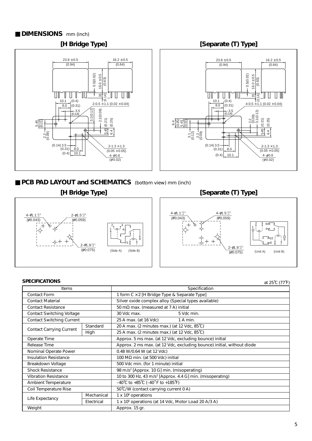#### ■ **DIMENSIONS** mm (inch)







## ■ **PCB PAD LAYOUT and SCHEMATICS** (bottom view) mm (inch)



### **[H Bridge Type] [Separate (T) Type]**



| <b>SPECIFICATIONS</b>            |            |                                                                             | at 25°C (77°F) |  |  |
|----------------------------------|------------|-----------------------------------------------------------------------------|----------------|--|--|
| Items                            |            | Specification                                                               |                |  |  |
| <b>Contact Form</b>              |            | 1 form C × 2 [H Bridge Type & Separate Type]                                |                |  |  |
| <b>Contact Material</b>          |            | Silver oxide complex alloy (Special types available)                        |                |  |  |
| <b>Contact Resistance</b>        |            | 50 m $\Omega$ max. (measured at 7 A) initial                                |                |  |  |
| <b>Contact Switching Voltage</b> |            | 30 Vdc max.<br>5 Vdc min.                                                   |                |  |  |
| <b>Contact Switching Current</b> |            | 25 A max. (at 16 Vdc)<br>1 A min.                                           |                |  |  |
|                                  | Standard   | 20 A max. (2 minutes max.) (at 12 Vdc, 85°C)                                |                |  |  |
| <b>Contact Carrying Current</b>  | High       | 25 A max. (2 minutes max.) (at 12 Vdc, 85°C)                                |                |  |  |
| Operate Time                     |            | Approx. 5 ms max. (at 12 Vdc, excluding bounce) initial                     |                |  |  |
| Release Time                     |            | Approx. 2 ms max. (at 12 Vdc, excluding bounce) initial, without diode      |                |  |  |
| Nominal Operate Power            |            | 0.48 W/0.64 W (at 12 Vdc)                                                   |                |  |  |
| <b>Insulation Resistance</b>     |            | 100 M $\Omega$ min. (at 500 Vdc) initial                                    |                |  |  |
| Breakdown Voltage                |            | 500 Vdc min. (for 1 minute) initial                                         |                |  |  |
| <b>Shock Resistance</b>          |            | 98 m/s <sup>2</sup> [Approx. 10 G] min. (misoperating)                      |                |  |  |
| <b>Vibration Resistance</b>      |            | 10 to 300 Hz, 43 m/s <sup>2</sup> [Approx. 4.4 G] min. (misoperating)       |                |  |  |
| <b>Ambient Temperature</b>       |            | $-40^{\circ}$ C to +85 $^{\circ}$ C (-40 $^{\circ}$ F to +185 $^{\circ}$ F) |                |  |  |
| Coil Temperature Rise            |            | 50°C/W (contact carrying current 0 A)                                       |                |  |  |
| Life Expectancy                  | Mechanical | 1 x 10 <sup>6</sup> operations                                              |                |  |  |
|                                  | Electrical | 1 x 10 <sup>5</sup> operations (at 14 Vdc, Motor Load 20 A/3 A)             |                |  |  |
| Weight                           |            | Approx. 15 gr.                                                              |                |  |  |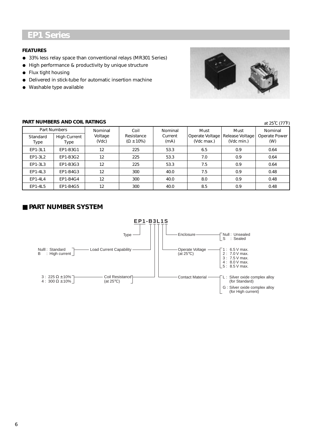# **EP1 Series**

#### **FEATURES**

- 33% Iess relay space than conventional relays (MR301 Series)
- High performance & productivity by unique structure
- Flux tight housing
- Delivered in stick-tube for automatic insertion machine
- Washable type available



#### **PART NUMBERS AND COIL RATINGS**

| PART NUMBERS AND COIL RATINGS<br>at 25°C (77°F) |                                     |                             |                                           |                            |                                       |                                       |                                 |
|-------------------------------------------------|-------------------------------------|-----------------------------|-------------------------------------------|----------------------------|---------------------------------------|---------------------------------------|---------------------------------|
| Standard                                        | Part Numbers<br><b>High Current</b> | Nominal<br>Voltage<br>(Vdc) | Coil<br>Resistance<br>$(\Omega \pm 10\%)$ | Nominal<br>Current<br>(mA) | Must<br>Operate Voltage<br>(Vdc max.) | Must<br>Release Voltage<br>(Vdc min.) | Nominal<br>Operate Power<br>(W) |
| Type                                            | Type                                |                             |                                           |                            |                                       |                                       |                                 |
| EP1-3L1                                         | EP1-B3G1                            | 12                          | 225                                       | 53.3                       | 6.5                                   | 0.9                                   | 0.64                            |
| EP1-3L2                                         | EP1-B3G2                            | 12                          | 225                                       | 53.3                       | 7.0                                   | 0.9                                   | 0.64                            |
| EP1-3L3                                         | EP1-B3G3                            | 12                          | 225                                       | 53.3                       | 7.5                                   | 0.9                                   | 0.64                            |
| EP1-4L3                                         | EP1-B4G3                            | 12                          | 300                                       | 40.0                       | 7.5                                   | 0.9                                   | 0.48                            |
| EP1-4L4                                         | EP1-B4G4                            | 12                          | 300                                       | 40.0                       | 8.0                                   | 0.9                                   | 0.48                            |
| EP1-4L5                                         | EP1-B4G5                            | 12                          | 300                                       | 40.0                       | 8.5                                   | 0.9                                   | 0.48                            |

### ■ **PART NUMBER SYSTEM**

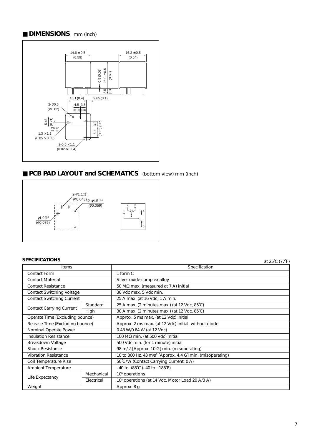### ■ **DIMENSIONS** mm (inch)



# ■ **PCB PAD LAYOUT and SCHEMATICS** (bottom view) mm (inch)



#### **SPECIFICATIONS** at 25˚C (77˚F)

| Items                            |            | Specification                                                         |  |  |  |  |
|----------------------------------|------------|-----------------------------------------------------------------------|--|--|--|--|
| <b>Contact Form</b>              |            | 1 form C                                                              |  |  |  |  |
| <b>Contact Material</b>          |            | Silver oxide complex alloy                                            |  |  |  |  |
| <b>Contact Resistance</b>        |            | 50 M $\Omega$ max. (measured at 7 A) initial                          |  |  |  |  |
| <b>Contact Switching Voltage</b> |            | 30 Vdc max, 5 Vdc min.                                                |  |  |  |  |
| <b>Contact Switching Current</b> |            | 25 A max. (at 16 Vdc) 1 A min.                                        |  |  |  |  |
|                                  | Standard   | 25 A max. (2 minutes max.) (at 12 Vdc, 85°C)                          |  |  |  |  |
| <b>Contact Carrying Current</b>  | High       | 30 A max. (2 minutes max.) (at 12 Vdc, 85°C)                          |  |  |  |  |
| Operate Time (Excluding bounce)  |            | Approx. 5 ms max. (at 12 Vdc) initial                                 |  |  |  |  |
| Release Time (Excluding bounce)  |            | Approx. 2 ms max. (at 12 Vdc) initial, without diode                  |  |  |  |  |
| Nominal Operate Power            |            | 0.48 W/0.64 W (at 12 Vdc)                                             |  |  |  |  |
| <b>Insulation Resistance</b>     |            | 100 MΩ min. (at 500 Vdc) initial                                      |  |  |  |  |
| Breakdown Voltage                |            | 500 Vdc min. (for 1 minute) initial                                   |  |  |  |  |
| <b>Shock Resistance</b>          |            | 98 m/s <sup>2</sup> [Approx. 10 G] min. (misoperating)                |  |  |  |  |
| <b>Vibration Resistance</b>      |            | 10 to 300 Hz, 43 m/s <sup>2</sup> [Approx. 4.4 G] min. (misoperating) |  |  |  |  |
| Coil Temperature Rise            |            | 50°C/W (Contact Carrying Current: 0 A)                                |  |  |  |  |
| <b>Ambient Temperature</b>       |            | $-40$ to $+85^{\circ}$ C ( $-40$ to $+185^{\circ}$ F)                 |  |  |  |  |
| Life Expectancy                  | Mechanical | 10 <sup>6</sup> operations                                            |  |  |  |  |
|                                  | Electrical | 10 <sup>5</sup> operations (at 14 Vdc, Motor Load 20 A/3 A)           |  |  |  |  |
| Weight                           |            | Approx. 8 g                                                           |  |  |  |  |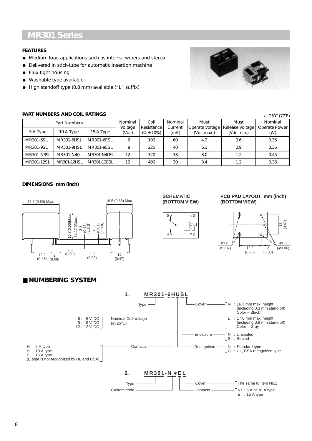# **MR301 Series**

#### **FEATURES**

- Medium load applications such as interval wipers and stereo
- Delivered in stick-tube for automatic insertion machine
- Flux tight housing
- Washable type available
- High standoff type (0.8 mm) available ("L" suffix)

#### **PART NUMBERS AND COIL RATINGS**



| PART NUMBERS AND COIL RATINGS<br>at 25°C (77°F) |                   |             |                  |                                   |                 |                               |                               |                      |
|-------------------------------------------------|-------------------|-------------|------------------|-----------------------------------|-----------------|-------------------------------|-------------------------------|----------------------|
| Part Numbers                                    |                   | Nominal     | Coil             | Nominal                           | Must            | Must                          | Nominal                       |                      |
| 5 A Type                                        | 10 A Type         | 15 A Type   | Voltage<br>(Vdc) | Resistance<br>$(\Omega \pm 10\%)$ | Current<br>(mA) | Operate Voltage<br>(Vdc max.) | Release Voltage<br>(Vdc min.) | Operate Power<br>(W) |
| MR301-6SL                                       | <b>MR301-6HSL</b> | MR301-6ESL  | 6                | 100                               | 60              | 4.2                           | 0.6                           | 0.36                 |
| MR301-9SL                                       | MR301-9HSL        | MR301-9ESL  | 9                | 225                               | 40              | 6.3                           | 0.9                           | 0.36                 |
| MR301-N39L                                      | MR301-N40L        | MR301-N40EL | 12               | 320                               | 38              | 8.0                           | 1.2                           | 0.45                 |
| MR301-12SL                                      | MR301-12HSL       | MR301-12ESL | 12               | 400                               | 30              | 8.4                           | 1.2                           | 0.36                 |

#### **DIMENSIONS mm (inch)**



#### **SCHEMATIC (BOTTOM VIEW)**



#### **PCB PAD LAYOUT mm (inch) (BOTTOM VIEW)**



### ■ **NUMBERING SYSTEM**

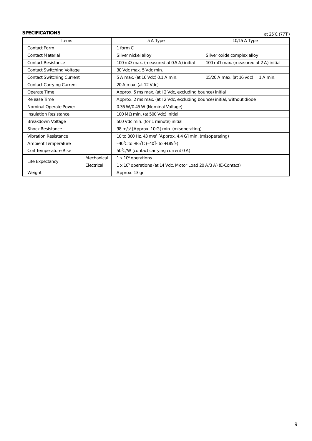# **SPECIFICATIONS** at 25<sup>°</sup>C (77<sup>°F)</sup>

| <b>Items</b>                     |            | 5 A Type<br>10/15 A Type                                                    |                                               |  |  |  |
|----------------------------------|------------|-----------------------------------------------------------------------------|-----------------------------------------------|--|--|--|
| <b>Contact Form</b>              |            | 1 form C                                                                    |                                               |  |  |  |
| <b>Contact Material</b>          |            | Silver oxide complex alloy<br>Silver nickel alloy                           |                                               |  |  |  |
| <b>Contact Resistance</b>        |            | 100 m $\Omega$ max. (measured at 0.5 A) initial                             | 100 m $\Omega$ max. (measured at 2 A) initial |  |  |  |
| <b>Contact Switching Voltage</b> |            | 30 Vdc max, 5 Vdc min.                                                      |                                               |  |  |  |
| <b>Contact Switching Current</b> |            | 5 A max. (at 16 Vdc) 0.1 A min.                                             | 15/20 A max. (at 16 vdc)<br>1 A min.          |  |  |  |
| <b>Contact Carrying Current</b>  |            | 20 A max. (at 12 Vdc)                                                       |                                               |  |  |  |
| Operate Time                     |            | Approx. 5 ms max. (at I 2 Vdc, excluding bounce) initial                    |                                               |  |  |  |
| Release Time                     |            | Approx. 2 ms max. (at I 2 Vdc, excluding bounce) initial, without diode     |                                               |  |  |  |
| Nominal Operate Power            |            | 0.36 W/0.45 W (Nominal Voltage)                                             |                                               |  |  |  |
| <b>Insulation Resistance</b>     |            | 100 M $\Omega$ min. (at 500 Vdc) initial                                    |                                               |  |  |  |
| Breakdown Voltage                |            | 500 Vdc min. (for 1 minute) initial                                         |                                               |  |  |  |
| <b>Shock Resistance</b>          |            | 98 m/s <sup>2</sup> [Approx. 10 G] min. (misoperating)                      |                                               |  |  |  |
| <b>Vibration Resistance</b>      |            | 10 to 300 Hz, 43 m/s <sup>2</sup> [Approx. 4.4 G] min. (misoperating)       |                                               |  |  |  |
| <b>Ambient Temperature</b>       |            | $-40^{\circ}$ C to +85 $^{\circ}$ C (-40 $^{\circ}$ F to +185 $^{\circ}$ F) |                                               |  |  |  |
| Coil Temperature Rise            |            | 50°C/W (contact carrying current 0 A)                                       |                                               |  |  |  |
| Life Expectancy                  | Mechanical | $1 \times 10^6$ operations                                                  |                                               |  |  |  |
|                                  | Electrical | 1 x 10 <sup>5</sup> operations (at 14 Vdc, Motor Load 20 A/3 A) (E-Contact) |                                               |  |  |  |
| Weight                           |            | Approx. 13 gr                                                               |                                               |  |  |  |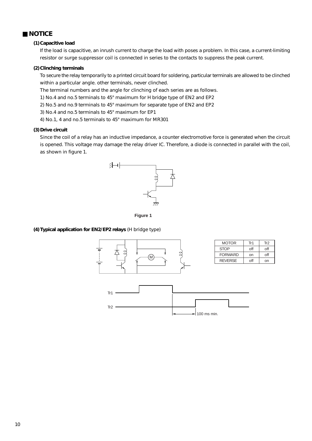#### ■ **NOTICE**

#### **(1) Capacitive load**

If the load is capacitive, an inrush current to charge the load with poses a problem. In this case, a current-limiting resistor or surge suppressor coil is connected in series to the contacts to suppress the peak current.

#### **(2) Clinching terminals**

To secure the relay temporarily to a printed circuit board for soldering, particular terminals are allowed to be clinched within a particular angle. other terminals, never clinched.

The terminal numbers and the angle for clinching of each series are as follows.

- 1) No.4 and no.5 terminals to 45° maximum for H bridge type of EN2 and EP2
- 2) No.5 and no.9 terminals to 45° maximum for separate type of EN2 and EP2
- 3) No.4 and no.5 terminals to 45° maximum for EP1
- 4) No.1, 4 and no.5 terminals to 45° maximum for MR301

#### **(3) Drive circuit**

Since the coil of a relay has an inductive impedance, a counter electromotive force is generated when the circuit is opened. This voltage may damage the relay driver IC. Therefore, a diode is connected in parallel with the coil, as shown in figure 1.





#### **(4) Typical application for EN2/EP2 relays** (H bridge type)

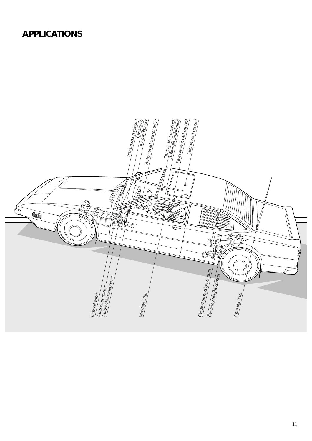# **APPLICATIONS**